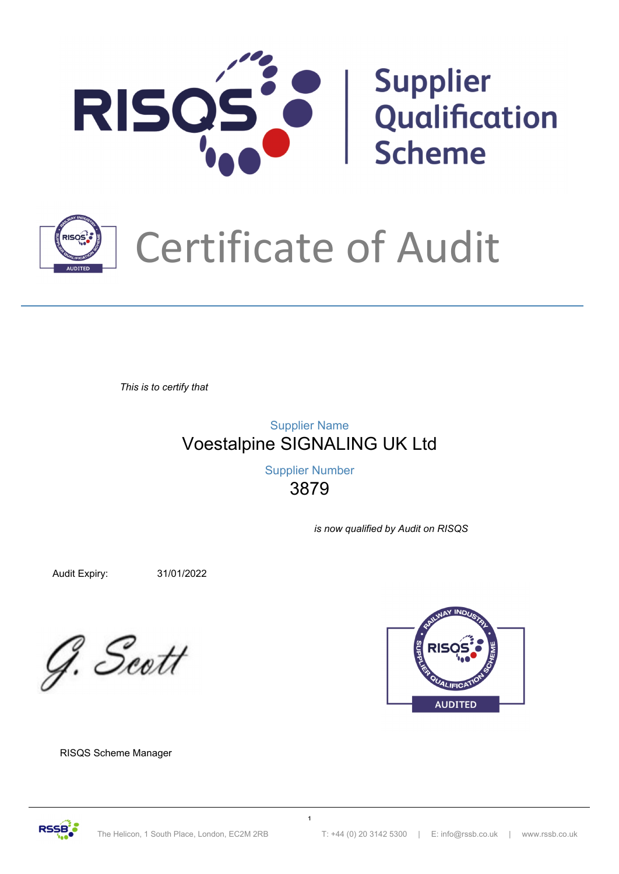



## Certificate of Audit

*This is to certify that*

Voestalpine SIGNALING UK Ltd Supplier Name

> 3879 Supplier Number

> > *is now qualified by Audit on RISQS*

Audit Expiry: 31/01/2022

G. Scott



RISQS Scheme Manager